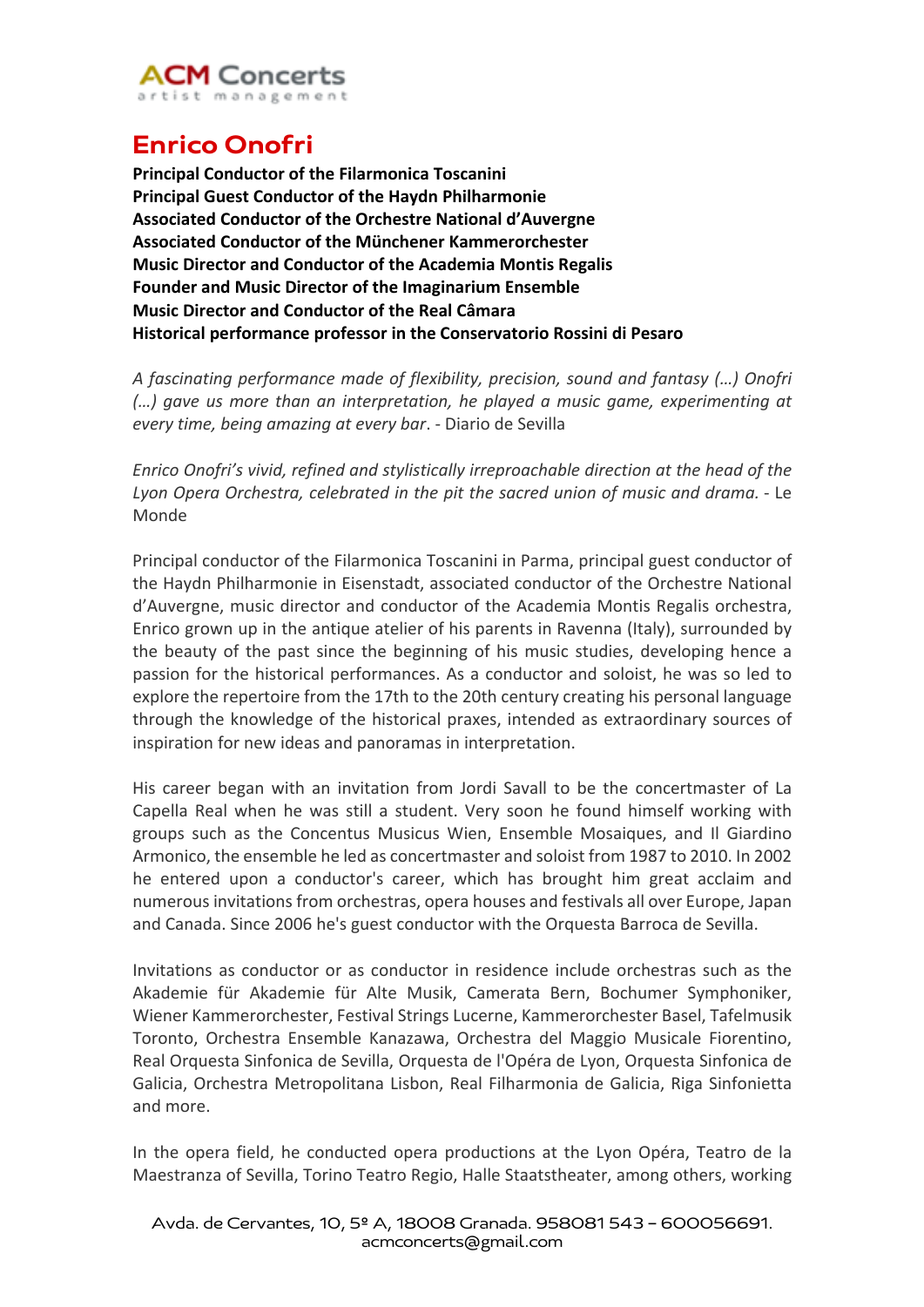

## **Enrico Onofri**

**Principal Conductor of the Filarmonica Toscanini Principal Guest Conductor of the Haydn Philharmonie Associated Conductor of the Orchestre National d'Auvergne Associated Conductor of the Münchener Kammerorchester Music Director and Conductor of the Academia Montis Regalis Founder and Music Director of the Imaginarium Ensemble Music Director and Conductor of the Real Câmara Historical performance professor in the Conservatorio Rossini di Pesaro**

*A fascinating performance made of flexibility, precision, sound and fantasy (…) Onofri (…) gave us more than an interpretation, he played a music game, experimenting at every time, being amazing at every bar*. - Diario de Sevilla

*Enrico Onofri's vivid, refined and stylistically irreproachable direction at the head of the Lyon Opera Orchestra, celebrated in the pit the sacred union of music and drama.* - Le Monde

Principal conductor of the Filarmonica Toscanini in Parma, principal guest conductor of the Haydn Philharmonie in Eisenstadt, associated conductor of the Orchestre National d'Auvergne, music director and conductor of the Academia Montis Regalis orchestra, Enrico grown up in the antique atelier of his parents in Ravenna (Italy), surrounded by the beauty of the past since the beginning of his music studies, developing hence a passion for the historical performances. As a conductor and soloist, he was so led to explore the repertoire from the 17th to the 20th century creating his personal language through the knowledge of the historical praxes, intended as extraordinary sources of inspiration for new ideas and panoramas in interpretation.

His career began with an invitation from Jordi Savall to be the concertmaster of La Capella Real when he was still a student. Very soon he found himself working with groups such as the Concentus Musicus Wien, Ensemble Mosaiques, and Il Giardino Armonico, the ensemble he led as concertmaster and soloist from 1987 to 2010. In 2002 he entered upon a conductor's career, which has brought him great acclaim and numerous invitations from orchestras, opera houses and festivals all over Europe, Japan and Canada. Since 2006 he's guest conductor with the Orquesta Barroca de Sevilla.

Invitations as conductor or as conductor in residence include orchestras such as the Akademie für Akademie für Alte Musik, Camerata Bern, Bochumer Symphoniker, Wiener Kammerorchester, Festival Strings Lucerne, Kammerorchester Basel, Tafelmusik Toronto, Orchestra Ensemble Kanazawa, Orchestra del Maggio Musicale Fiorentino, Real Orquesta Sinfonica de Sevilla, Orquesta de l'Opéra de Lyon, Orquesta Sinfonica de Galicia, Orchestra Metropolitana Lisbon, Real Filharmonia de Galicia, Riga Sinfonietta and more.

In the opera field, he conducted opera productions at the Lyon Opéra, Teatro de la Maestranza of Sevilla, Torino Teatro Regio, Halle Staatstheater, among others, working